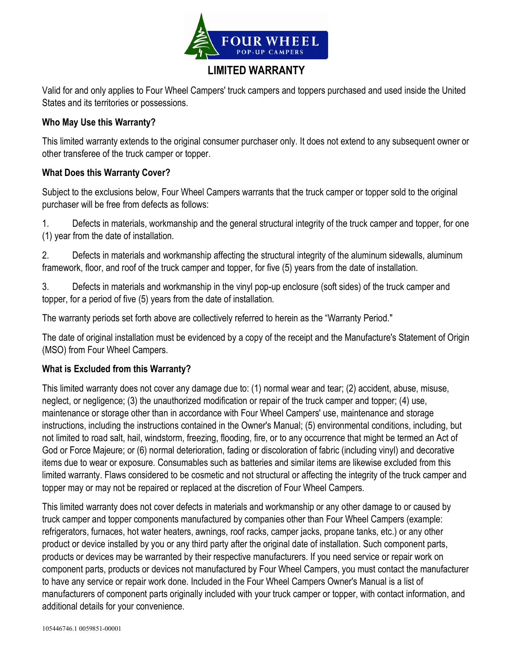

# LIMITED WARRANTY

Valid for and only applies to Four Wheel Campers' truck campers and toppers purchased and used inside the United States and its territories or possessions.

#### Who May Use this Warranty?

This limited warranty extends to the original consumer purchaser only. It does not extend to any subsequent owner or other transferee of the truck camper or topper.

### What Does this Warranty Cover?

Subject to the exclusions below, Four Wheel Campers warrants that the truck camper or topper sold to the original purchaser will be free from defects as follows:

1. Defects in materials, workmanship and the general structural integrity of the truck camper and topper, for one (1) year from the date of installation.

2. Defects in materials and workmanship affecting the structural integrity of the aluminum sidewalls, aluminum framework, floor, and roof of the truck camper and topper, for five (5) years from the date of installation.

3. Defects in materials and workmanship in the vinyl pop-up enclosure (soft sides) of the truck camper and topper, for a period of five (5) years from the date of installation.

The warranty periods set forth above are collectively referred to herein as the "Warranty Period."

The date of original installation must be evidenced by a copy of the receipt and the Manufacture's Statement of Origin (MSO) from Four Wheel Campers.

#### What is Excluded from this Warranty?

This limited warranty does not cover any damage due to: (1) normal wear and tear; (2) accident, abuse, misuse, neglect, or negligence; (3) the unauthorized modification or repair of the truck camper and topper; (4) use, maintenance or storage other than in accordance with Four Wheel Campers' use, maintenance and storage instructions, including the instructions contained in the Owner's Manual; (5) environmental conditions, including, but not limited to road salt, hail, windstorm, freezing, flooding, fire, or to any occurrence that might be termed an Act of God or Force Majeure; or (6) normal deterioration, fading or discoloration of fabric (including vinyl) and decorative items due to wear or exposure. Consumables such as batteries and similar items are likewise excluded from this limited warranty. Flaws considered to be cosmetic and not structural or affecting the integrity of the truck camper and topper may or may not be repaired or replaced at the discretion of Four Wheel Campers.

This limited warranty does not cover defects in materials and workmanship or any other damage to or caused by truck camper and topper components manufactured by companies other than Four Wheel Campers (example: refrigerators, furnaces, hot water heaters, awnings, roof racks, camper jacks, propane tanks, etc.) or any other product or device installed by you or any third party after the original date of installation. Such component parts, products or devices may be warranted by their respective manufacturers. If you need service or repair work on component parts, products or devices not manufactured by Four Wheel Campers, you must contact the manufacturer to have any service or repair work done. Included in the Four Wheel Campers Owner's Manual is a list of manufacturers of component parts originally included with your truck camper or topper, with contact information, and additional details for your convenience.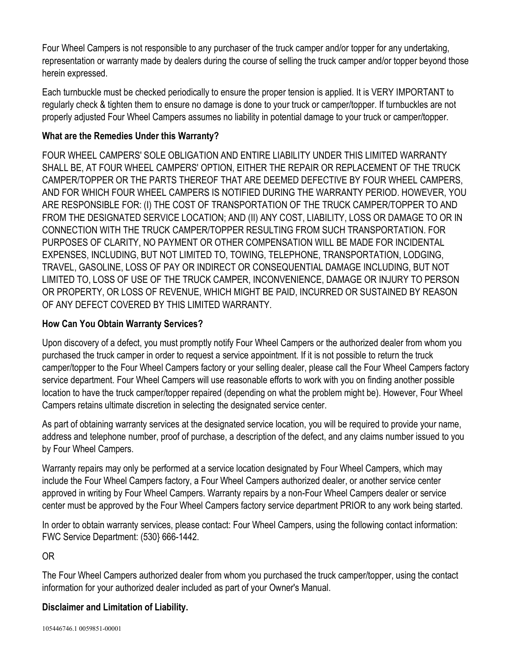Four Wheel Campers is not responsible to any purchaser of the truck camper and/or topper for any undertaking, representation or warranty made by dealers during the course of selling the truck camper and/or topper beyond those herein expressed.

Each turnbuckle must be checked periodically to ensure the proper tension is applied. It is VERY IMPORTANT to regularly check & tighten them to ensure no damage is done to your truck or camper/topper. If turnbuckles are not properly adjusted Four Wheel Campers assumes no liability in potential damage to your truck or camper/topper.

## What are the Remedies Under this Warranty?

FOUR WHEEL CAMPERS' SOLE OBLIGATION AND ENTIRE LIABILITY UNDER THIS LIMITED WARRANTY SHALL BE, AT FOUR WHEEL CAMPERS' OPTION, EITHER THE REPAIR OR REPLACEMENT OF THE TRUCK CAMPER/TOPPER OR THE PARTS THEREOF THAT ARE DEEMED DEFECTIVE BY FOUR WHEEL CAMPERS, AND FOR WHICH FOUR WHEEL CAMPERS IS NOTIFIED DURING THE WARRANTY PERIOD. HOWEVER, YOU ARE RESPONSIBLE FOR: (I) THE COST OF TRANSPORTATION OF THE TRUCK CAMPER/TOPPER TO AND FROM THE DESIGNATED SERVICE LOCATION; AND (II) ANY COST, LIABILITY, LOSS OR DAMAGE TO OR IN CONNECTION WITH THE TRUCK CAMPER/TOPPER RESULTING FROM SUCH TRANSPORTATION. FOR PURPOSES OF CLARITY, NO PAYMENT OR OTHER COMPENSATION WILL BE MADE FOR INCIDENTAL EXPENSES, INCLUDING, BUT NOT LIMITED TO, TOWING, TELEPHONE, TRANSPORTATION, LODGING, TRAVEL, GASOLINE, LOSS OF PAY OR INDIRECT OR CONSEQUENTIAL DAMAGE INCLUDING, BUT NOT LIMITED TO, LOSS OF USE OF THE TRUCK CAMPER, INCONVENIENCE, DAMAGE OR INJURY TO PERSON OR PROPERTY, OR LOSS OF REVENUE, WHICH MIGHT BE PAID, INCURRED OR SUSTAINED BY REASON OF ANY DEFECT COVERED BY THIS LIMITED WARRANTY.

## How Can You Obtain Warranty Services?

Upon discovery of a defect, you must promptly notify Four Wheel Campers or the authorized dealer from whom you purchased the truck camper in order to request a service appointment. If it is not possible to return the truck camper/topper to the Four Wheel Campers factory or your selling dealer, please call the Four Wheel Campers factory service department. Four Wheel Campers will use reasonable efforts to work with you on finding another possible location to have the truck camper/topper repaired (depending on what the problem might be). However, Four Wheel Campers retains ultimate discretion in selecting the designated service center.

As part of obtaining warranty services at the designated service location, you will be required to provide your name, address and telephone number, proof of purchase, a description of the defect, and any claims number issued to you by Four Wheel Campers.

Warranty repairs may only be performed at a service location designated by Four Wheel Campers, which may include the Four Wheel Campers factory, a Four Wheel Campers authorized dealer, or another service center approved in writing by Four Wheel Campers. Warranty repairs by a non-Four Wheel Campers dealer or service center must be approved by the Four Wheel Campers factory service department PRIOR to any work being started.

In order to obtain warranty services, please contact: Four Wheel Campers, using the following contact information: FWC Service Department: (530} 666-1442.

OR

The Four Wheel Campers authorized dealer from whom you purchased the truck camper/topper, using the contact information for your authorized dealer included as part of your Owner's Manual.

## Disclaimer and Limitation of Liability.